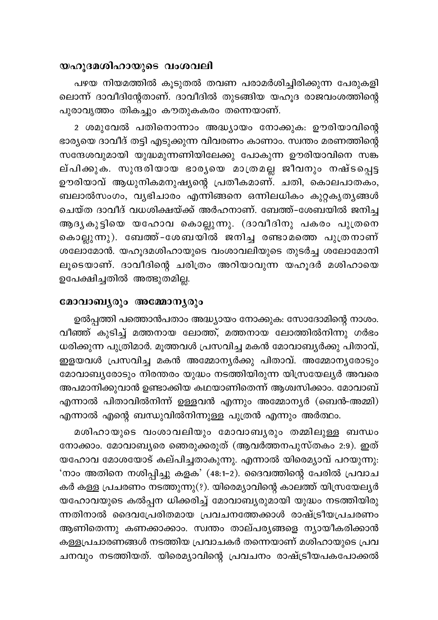## യഹുദമശിഹായുടെ വംശവലി

പഴയ നിയമത്തിൽ കൂടുതൽ തവണ പരാമർശിച്ചിരിക്കുന്ന പേരുകളി ലൊന്ന് ദാവീദിന്റേതാണ്. ദാവീദിൽ തുടങ്ങിയ യഹൂദ രാജവംശത്തിന്റെ പുരാവൃത്തം തികച്ചും കൗതുകകരം തന്നെയാണ്.

2 ശമുവേൽ പതിനൊന്നാം അദ്ധ്യായം നോക്കുക: ഊരിയാവിന്റെ ഭാര്യയെ ദാവീദ് തട്ടി എടുക്കുന്ന വിവരണം കാണാം. സ്വന്തം മരണത്തിന്റെ സന്ദേശവുമായി യുദ്ധമുന്നണിയിലേക്കു പോകുന്ന ഊരിയാവിനെ സങ്ക ല്പിക്കുക. സുന്ദരിയായ ഭാര്യയെ മാത്രമല്ല ജീവനും നഷ്ടപ്പെട്ട ഊരിയാവ് ആധുനികമനുഷ്യന്റെ പ്രതീകമാണ്. ചതി, കൊലപാതകം, ബലാൽസംഗം, വൃഭിചാരം എന്നിങ്ങനെ ഒന്നിലധികം കുറ്റകൃതൃങ്ങൾ ചെയ്ത ദാവീദ് വധശിക്ഷയ്ക്ക് അർഹനാണ്. ബേത്ത്-ശേബയിൽ ജനിച്ച ആദ്യകുട്ടിയെ യഹോവ കൊല്ലുന്നു. (ദാവീദിനു പകരം പുത്രനെ കൊല്ലുന്നു). ബേത്ത്-ശേബയിൽ ജനിച്ച രണ്ടാമത്തെ പുത്രനാണ് ശലോമോൻ. യഹുദമശിഹായുടെ വംശാവലിയുടെ തുടർച്ച ശലോമോനി ലൂടെയാണ്. ദാവീദിന്റെ ചരിത്രം അറിയാവുന്ന യഹൂദർ മശിഹായെ ഉപേക്ഷിച്ചതിൽ അത്ഭുതമില്ല.

## മോവാബൃരും അമ്മോനൃരും

ഉൽപ്പത്തി പത്തൊൻപതാം അദ്ധ്യായം നോക്കുക: സോദോമിന്റെ നാശം. വീഞ്ഞ് കുടിച്ച് മത്തനായ ലോത്ത്, മത്തനായ ലോത്തിൽനിന്നു ഗർഭം ധരിക്കുന്ന പുത്രിമാർ. മൂത്തവൾ പ്രസവിച്ച മകൻ മോവാബ്യർക്കു പിതാവ്, ഇളയവൾ പ്രസവിച്ച മകൻ അമ്മോനൃർക്കു പിതാവ്. അമ്മോനൃരോടും മോവാബ്യരോടും നിരന്തരം യുദ്ധം നടത്തിയിരുന്ന യിസ്രയേല്യർ അവരെ അപമാനിക്കുവാൻ ഉണ്ടാക്കിയ കഥയാണിതെന്ന് ആശ്വസിക്കാം. മോവാബ് എന്നാൽ പിതാവിൽനിന്ന് ഉള്ളവൻ എന്നും അമ്മോനൃർ (ബെൻ-അമ്മി) എന്നാൽ എന്റെ ബന്ധുവിൽനിന്നുള്ള പുത്രൻ എന്നും അർത്ഥം.

മശിഹായുടെ വംശാവലിയും മോവാബൃരും തമ്മിലുള്ള ബന്ധം നോക്കാം. മോവാബ്യരെ ഞെരുക്കരുത് (ആവർത്തനപുസ്തകം 2:9). ഇത് യഹോവ മോശയോട് കല്പിച്ചതാകുന്നു. എന്നാൽ യിമെ്യൊവ് പറയുന്നു: 'നാം അതിനെ നശിപ്പിച്ചു കളക' (48:1-2). ദൈവത്തിന്റെ പേരിൽ പ്രവാച കർ കള്ള പ്രചരണം നടത്തുന്നു(?). യിരെമ്യാവിന്റെ കാലത്ത് യിസ്രയേല്യർ യഹോവയുടെ കൽപ്പന ധിക്കരിച്ച് മോവാബ്യരുമായി യുദ്ധം നടത്തിയിരു ന്നതിനാൽ ദൈവപ്രേരിതമായ പ്രവചനത്തേക്കാൾ രാഷ്ട്രീയപ്രചരണം ആണിതെന്നു കണക്കാക്കാം. സ്വന്തം താല്പര്യങ്ങളെ ന്യായീകരിക്കാൻ കള്ളപ്രചാരണങ്ങൾ നടത്തിയ പ്രവാചകർ തന്നെയാണ് മശിഹായുടെ പ്രവ ചനവും നടത്തിയത്. യിരെമ്യാവിന്റെ പ്രവചനം രാഷ്ട്രീയപകപോക്കൽ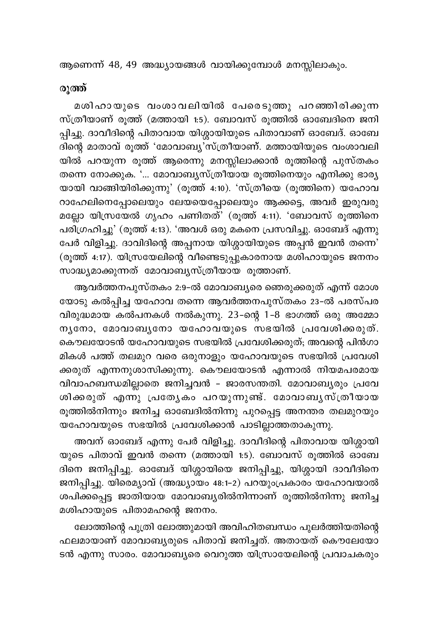ആണെന്ന് 48, 49 അദ്ധ്യായങ്ങൾ വായിക്കുമ്പോൾ മനസ്സിലാകും.

## രുത്ത്

മശിഹായുടെ വംശാവലിയിൽ പേരെടുത്തു പറഞ്ഞിരിക്കുന്ന സ്ത്രീയാണ് രൂത്ത് (മത്തായി 1:5). ബോവസ് രൂത്തിൽ ഓബേദിനെ ജനി പ്പിച്ചു. ദാവീദിന്റെ പിതാവായ യിശ്ശായിയുടെ പിതാവാണ് ഓബേദ്. ഓബേ .<br>ദിന്റെ മാതാവ് രൂത്ത് 'മോവാബ്യ'സ്ത്രീയാണ്. മത്തായിയുടെ വംശാവലി യിൽ പറയുന്ന രൂത്ത് ആരെന്നു മനസ്സിലാക്കാൻ രൂത്തിന്റെ പുസ്തകം തന്നെ നോക്കുക. '... മോവാബ്യസ്ത്രീയായ രൂത്തിനെയും എനിക്കു ഭാര്യ യായി വാങ്ങിയിരിക്കുന്നു' (രൂത്ത് 4:10). 'സ്ത്രീയെ (രൂത്തിനെ) യഹോവ റാഹേലിനെപ്പോലെയും ലേയയെപ്പോലെയും ആക്കട്ടെ, അവർ ഇരുവരു മല്ലോ യിസ്രയേൽ ഗൃഹം പണിതത്' (രൂത്ത് 4:11). 'ബോവസ് രൂത്തിനെ പരിഗ്രഹിച്ചു' (രൂത്ത് 4:13). 'അവൾ ഒരു മകനെ പ്രസവിച്ചു. ഓബേദ് എന്നു പേർ വിളിച്ചു. ദാവിദിന്റെ അപ്പനായ യിശ്ശായിയുടെ അപ്പൻ ഇവൻ തന്നെ<sup>?</sup> (രൂത്ത് 4:17). യിസ്രയേലിന്റെ വീണ്ടെടുപ്പുകാരനായ മശിഹായുടെ ജനനം സാദ്ധ്യമാക്കുന്നത് മോവാബ്യസ്ത്രീയായ രൂത്താണ്.

ആവർത്തനപുസ്തകം 2:9-ൽ മോവാബ്യരെ ഞെരുക്കരുത് എന്ന് മോശ യോടു കൽപ്പിച്ച യഹോവ തന്നെ ആവർത്തനപുസ്തകം 23-ൽ പരസ്പര വിരുദ്ധമായ കൽപനകൾ നൽകുന്നു. 23-ന്റെ 1-8 ഭാഗത്ത് ഒരു അമ്മോ നൃനോ, മോവാബൃനോ യഹോവയുടെ സഭയിൽ പ്രവേശിക്കരുത്. കൌലയോടൻ യഹോവയുടെ സഭയിൽ പ്രവേശിക്കരുത്; അവന്റെ പിൻഗാ മികൾ പത്ത് തലമുറ വരെ ഒരുനാളും യഹോവയുടെ സഭയിൽ പ്രവേശി ക്കരുത് എന്നനുശാസിക്കുന്നു. കൌലയോടൻ എന്നാൽ നിയമപരമായ വിവാഹബന്ധമില്ലാതെ ജനിച്ചവൻ – ജാരസന്തതി. മോവാബ്യരും പ്രവേ ശിക്കരുത് എന്നു പ്രത്യേകം പറയുന്നുണ്ട്. മോവാബൃസ്ത്രീയായ രൂത്തിൽനിന്നും ജനിച്ച ഓബേദിൽനിന്നു പുറപ്പെട്ട അനന്തര തലമുറയും .<br>യഹോവയുടെ സഭയിൽ പ്രവേശിക്കാൻ പാടില്ലാത്തതാകുന്നു.

അവന് ഓബേദ് എന്നു പേർ വിളിച്ചു. ദാവീദിന്റെ പിതാവായ യിശ്ശായി യുടെ പിതാവ് ഇവൻ തന്നെ (മത്തായി 1:5). ബോവസ് രൂത്തിൽ ഓബേ ദിനെ ജനിപ്പിച്ചു. ഓബേദ് യിശ്ശായിയെ ജനിപ്പിച്ചു, യിശ്ശായി ദാവീദിനെ ജനിപ്പിച്ചു. യിരെമ്യാവ് (അദ്ധ്യായം 48:1-2) പറയുംപ്രകാരം യഹോവയാൽ ശപിക്കപ്പെട്ട ജാതിയായ മോവാബ്യരിൽനിന്നാണ് രൂത്തിൽനിന്നു ജനിച്ച മശിഹായുടെ പിതാമഹന്റെ ജനനം.

ലോത്തിന്റെ പുത്രി ലോത്തുമായി അവിഹിതബന്ധം പുലർത്തിയതിന്റെ ഫലമായാണ് മോവാബൃരുടെ പിതാവ് ജനിച്ചത്. അതായത് കൌലേയോ ടൻ എന്നു സാരം. മോവാബ്യരെ വെറുത്ത യിസ്രായേലിന്റെ പ്രവാചകരും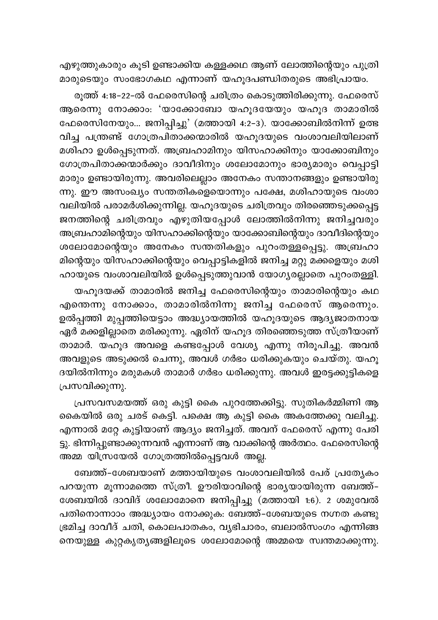എഴുത്തുകാരും കൂടി ഉണ്ടാക്കിയ കള്ളക്കഥ ആണ് ലോത്തിന്റെയും പുത്രി മാരുടെയും സംഭോഗകഥ എന്നാണ് യഹൂദപണ്ഡിതരുടെ അഭിപ്രായം.

രൂത്ത് 4:18-22-ൽ ഫേരെസിന്റെ ചരിത്രം കൊടുത്തിരിക്കുന്നു. ഫേരെസ് ആരെന്നു നോക്കാം: 'യാക്കോബോ യഹൂദയേയും യഹൂദ താമാരിൽ ഫേരെസിനേയും... ജനിപ്പിച്ചു' (മത്തായി 4:2-3). യാക്കോബിൽനിന്ന് ഉത്ഭ വിച്ച പന്ത്രണ്ട് ഗോത്രപിതാക്കന്മാരിൽ യഹൂദയുടെ വംശാവലിയിലാണ് മശിഹാ ഉൾപ്പെടുന്നത്. അബ്രഹാമിനും യിസഹാക്കിനും യാക്കോബിനും ഗോത്രപിതാക്കന്മാർക്കും ദാവീദിനും ശലോമോനും ഭാര്യമാരും വെപ്പാട്ടി മാരും ഉണ്ടായിരുന്നു. അവരിലെല്ലാം അനേകം സന്താനങ്ങളും ഉണ്ടായിരു ന്നു. ഈ അസംഖ്യം സന്തതികളെയൊന്നും പക്ഷേ, മശിഹായുടെ വംശാ വലിയിൽ പരാമർശിക്കുന്നില്ല. യഹൂദയുടെ ചരിത്രവും തിരഞ്ഞെടുക്കപ്പെട്ട ജനത്തിന്റെ ചരിത്രവും എഴുതിയപ്പോൾ ലോത്തിൽനിന്നു ജനിച്ചവരും അബ്രഹാമിന്റെയും യിസഹാക്കിന്റെയും യാക്കോബിന്റെയും ദാവീദിന്റെയും ശലോമോന്റെയും അനേകം സന്തതികളും പുറംതള്ളപ്പെട്ടു. അബ്രഹാ മിന്റെയും യിസഹാക്കിന്റെയും വെപ്പാട്ടികളിൽ ജനിച്ച മറ്റു മക്കളെയും മശി ഹായുടെ വംശാവലിയിൽ ഉൾപ്പെടുത്തുവാൻ യോഗൃരല്ലാതെ പുറംതള്ളി.

യഹൂദയക്ക് താമാരിൽ ജനിച്ച ഫേരെസിന്റെയും താമാരിന്റെയും കഥ എന്തെന്നു നോക്കാം, താമാരിൽനിന്നു ജനിച്ച ഫേരെസ് ആരെന്നും. ഉൽപ്പത്തി മുപ്പത്തിയെട്ടാം അദ്ധ്യായത്തിൽ യഹൂദയുടെ ആദ്യജാതനായ ഏർ മക്കളില്ലാതെ മരിക്കുന്നു. ഏരിന് യഹൂദ തിരഞ്ഞെടുത്ത സ്ത്രീയാണ് താമാർ. യഹൂദ അവളെ കണ്ടപ്പോൾ വേശ്യ എന്നു നിരൂപിച്ചു. അവൻ അവളുടെ അടുക്കൽ ചെന്നു, അവൾ ഗർഭം ധരിക്കുകയും ചെയ്തു. യഹൂ ദയിൽനിന്നും മരുമകൾ താമാർ ഗർഭം ധരിക്കുന്നു. അവൾ ഇരട്ടക്കുട്ടികളെ പ്രസവിക്കുന്നു.

പ്രസവസമയത്ത് ഒരു കുട്ടി കൈ പുറത്തേക്കിട്ടു. സുതികർമ്മിണി ആ കൈയിൽ ഒരു ചരട് കെട്ടി. പക്ഷെ ആ കുട്ടി കൈ അകത്തേക്കു വലിച്ചു. എന്നാൽ മറ്റേ കുട്ടിയാണ് ആദ്യം ജനിച്ചത്. അവന് ഫേരെസ് എന്നു പേരി ട്ടു. ഭിന്നിപ്പുണ്ടാക്കുന്നവൻ എന്നാണ് ആ വാക്കിന്റെ അർത്ഥം. ഫേരെസിന്റെ അമ്മ യിസ്രയേൽ ഗോത്രത്തിൽപ്പെട്ടവൾ അല്ല.

ബേത്ത്-ശേബയാണ് മത്തായിയുടെ വംശാവലിയിൽ പേര് പ്രത്യേകം പറയുന്ന മൂന്നാമത്തെ സ്ത്രീ. ഊരിയാവിന്റെ ഭാര്യയായിരുന്ന ബേത്ത്-ശേബയിൽ ദാവിദ് ശലോമോനെ ജനിപ്പിച്ചു (മത്തായി 1:6). 2 ശമുവേൽ പതിനൊന്നാാം അദ്ധ്യായം നോക്കുക: ബേത്ത്-ശേബയുടെ നഗ്നത കണ്ടു ഭ്രമിച്ച ദാവീദ് ചതി, കൊലപാതകം, വൃഭിചാരം, ബലാൽസംഗം എന്നിങ്ങ നെയുള്ള കുറ്റകൃത്യങ്ങളിലൂടെ ശലോമോന്റെ അമ്മയെ സ്വന്തമാക്കുന്നു.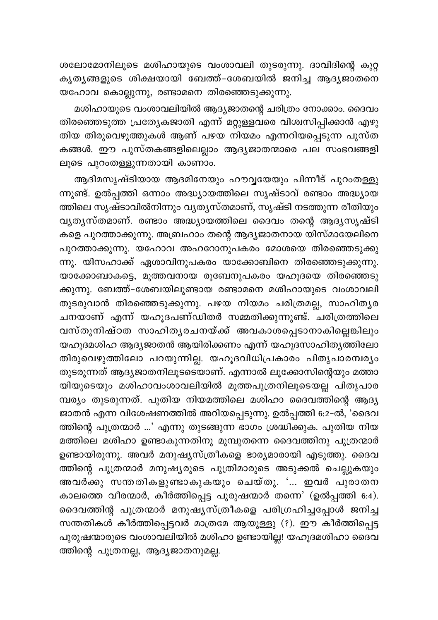ശലോമോനിലൂടെ മശിഹായുടെ വംശാവലി തുടരുന്നു. ദാവിദിന്റെ കുറ്റ കൃതൃങ്ങളുടെ ശിക്ഷയായി ബേത്ത്-ശേബയിൽ ജനിച്ച ആദൃജാതനെ യഹോവ കൊല്ലുന്നു, രണ്ടാമനെ തിരഞ്ഞെടുക്കുന്നു.

മശിഹായുടെ വംശാവലിയിൽ ആദ്യജാതന്റെ ചരിത്രം നോക്കാം. ദൈവം തിരഞ്ഞെടുത്ത പ്രത്യേകജാതി എന്ന് മറ്റുള്ളവരെ വിശ്വസിപ്പിക്കാൻ എഴു തിയ തിരുവെഴുത്തുകൾ ആണ് പഴയ നിയമം എന്നറിയപ്പെടുന്ന പുസ്ത കങ്ങൾ. ഈ പുസ്തകങ്ങളിലെല്ലാം ആദ്യജാതന്മാരെ പല സംഭവങ്ങളി ലൂടെ പുറംതള്ളുന്നതായി കാണാം.

ആദിമസൃഷ്ടിയായ ആദമിനേയും ഹൗവ്വയേയും പിന്നീട് പുറംതള്ളു ന്നുണ്ട്. ഉൽപ്പത്തി ഒന്നാം അദ്ധ്യായത്തിലെ സൃഷ്ടാവ് രണ്ടാം അദ്ധ്യായ ത്തിലെ സൃഷ്ടാവിൽനിന്നും വ്യത്യസ്തമാണ്, സൃഷ്ടി നടത്തുന്ന രീതിയും വൃത്യസ്തമാണ്. രണ്ടാം അദ്ധ്യായത്തിലെ ദൈവം തന്റെ ആദ്യസൃഷ്ടി കളെ പുറത്താക്കുന്നു. അബ്രഹാം തന്റെ ആദ്യജാതനായ യിസ്മായേലിനെ പുറത്താക്കുന്നു. യഹോവ അഹറോനുപകരം മോശയെ തിരഞ്ഞെടുക്കു ന്നു. യിസഹാക്ക് ഏശാവിനുപകരം യാക്കോബിനെ തിരഞ്ഞെടുക്കുന്നു. യാക്കോബാകട്ടെ, മൂത്തവനായ രൂബേനുപകരം യഹൂദയെ തിരഞ്ഞെടു ക്കുന്നു. ബേത്ത്-ശേബയിലുണ്ടായ രണ്ടാമനെ മശിഹായുടെ വംശാവലി തുടരുവാൻ തിരഞ്ഞെടുക്കുന്നു. പഴയ നിയമം ചരിത്രമല്ല, സാഹിതൃര \_.<br>ചനയാണ് എന്ന് യഹൂദപണ്ഡിതർ സമ്മതിക്കുന്നുണ്ട്. ചരിത്രത്തിലെ വസ്തുനിഷ്ഠത സാഹിത്യരചനയ്ക്ക് അവകാശപ്പെടാനാകില്ലെങ്കിലും യഹൂദമശിഹ ആദ്യജാതൻ ആയിരിക്കണം എന്ന് യഹൂദസാഹിത്യത്തിലോ തിരുവെഴുത്തിലോ പറയുന്നില്ല. യഹൂദവിധിപ്രകാരം പിതൃപാരമ്പര്യം തുടരുന്നത് ആദ്യജാതനിലൂടടെയാണ്. എന്നാൽ ലൂക്കോസിന്റെയും മത്താ .<br>യിയുടെയും മശിഹാവംശാവലിയിൽ മൂത്തപുത്രനിലൂടെയല്ല പിതൃപാര .<br>മ്പര്യം തുടരുന്നത്. പുതിയ നിയമത്തിലെ മശിഹാ ദൈവത്തിന്റെ ആദ്യ ജാതൻ എന്ന വിശേഷണത്തിൽ അറിയപ്പെടുന്നു. ഉൽപ്പത്തി 6:2-ൽ, 'ദൈവ ത്തിന്റെ പുത്രന്മാർ ...' എന്നു തുടങ്ങുന്ന ഭാഗം ശ്രദ്ധിക്കുക. പുതിയ നിയ മത്തിലെ മശിഹാ ഉണ്ടാകുന്നതിനു മുമ്പുതന്നെ ദൈവത്തിനു പുത്രന്മാർ ഉണ്ടായിരുന്നു. അവർ മനുഷ്യസ്ത്രീകളെ ഭാര്യമാരായി എടുത്തു. ദൈവ ത്തിന്റെ പുത്രന്മാർ മനുഷ്യരുടെ പുത്രിമാരുടെ അടുക്കൽ ചെല്ലുകയും അവർക്കു സന്തതികളുണ്ടാകുകയും ചെയ്തു. '... ഇവർ പുരാതന കാലത്തെ വീരന്മാർ, കീർത്തിപ്പെട്ട പുരുഷന്മാർ തന്നെ' (ഉൽപ്പത്തി 6:4). ദൈവത്തിന്റ പുത്രന്മാർ മനുഷുസ്ത്രീകളെ പരിഗ്രഹിച്ചപ്പോൾ ജനിച്ച സന്തതികൾ കീർത്തിപ്പെട്ടവർ മാത്രമേ ആയുള്ളു (?). ഈ കീർത്തിപ്പെട്ട പുരുഷന്മാരുടെ വംശാവലിയിൽ മശിഹാ ഉണ്ടായില്ല! യഹുദമശിഹാ ദൈവ ത്തിന്റെ പുത്രനല്ല, ആദ്യജാതനുമല്ല.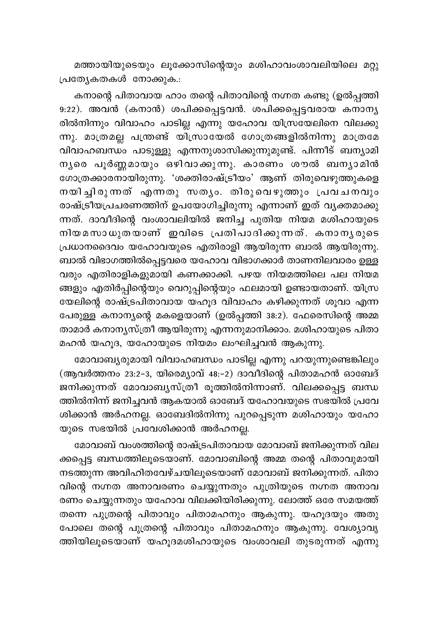മത്തായിയുടെയും ലൂക്കോസിന്റെയും മശിഹാവംശാവലിയിലെ മറ്റു പ്രത്യേകതകൾ നോക്കുക.:

കനാന്റെ പിതാവായ ഹാം തന്റെ പിതാവിന്റെ നഗ്നത കണ്ടു (ഉൽപ്പത്തി 9:22). അവൻ (കനാൻ) ശപിക്കപ്പെട്ടവൻ. ശപിക്കപ്പെട്ടവരായ കനാനൃ രിൽനിന്നും വിവാഹം പാടില്ല എന്നു യഹോവ യിസ്രയേലിനെ വിലക്കു ന്നു. മാത്രമല്ല പന്ത്രണ്ട് യിസ്രായേൽ ഗോത്രങ്ങളിൽനിന്നു മാത്രമേ വിവാഹബന്ധം പാടുള്ളു എന്നനുശാസിക്കുന്നുമുണ്ട്. പിന്നീട് ബന്യാമി നൃരെ പൂർണ്ണമായും ഒഴിവാക്കുന്നു. കാരണം ശൗൽ ബനൃാമിൻ ഗോത്രക്കാരനായിരുന്നു. 'ശക്തിരാഷ്ട്രീയം' ആണ് തിരുവെഴുത്തുകളെ നയിച്ചിരുന്നത് എന്നതു സത്യം. തിരുവെഴുത്തും പ്രവചനവും രാഷ്ട്രീയ്പചരണത്തിന് ഉപയോഗിച്ചിരുന്നു എന്നാണ് ഇത് വൃക്തമാക്കു ന്നത്. ദാവീദിന്റെ വംശാവലിയിൽ ജനിച്ച പുതിയ നിയമ മശിഹായുടെ നിയമസാധുതയാണ് ഇവിടെ പ്രതിപാദിക്കുന്നത്. കനാനൃരുടെ പ്രധാനദൈവം യഹോവയുടെ എതിരാളി ആയിരുന്ന ബാൽ ആയിരുന്നു. ബാൽ വിഭാഗത്തിൽപ്പെട്ടവരെ യഹോവ വിഭാഗക്കാർ താണനിലവാരം ഉള്ള വരും എതിരാളികളുമായി കണക്കാക്കി. പഴയ നിയമത്തിലെ പല നിയമ ങ്ങളും എതിർപ്പിന്റെയും വെറുപ്പിന്റെയും ഫലമായി ഉണ്ടായതാണ്. യിസ്ര യേലിന്റെ രാഷ്ട്രപിതാവായ യഹൂദ വിവാഹം കഴിക്കുന്നത് ശൂവാ എന്ന പേരുള്ള കനാന്യന്റെ മകളെയാണ് (ഉൽപ്പത്തി 38:2). ഫേരെസിന്റെ അമ്മ താമാർ കനാനൃസ്ത്രീ ആയിരുന്നു എന്നനുമാനിക്കാം. മശിഹായുടെ പിതാ മഹൻ യഹൂദ, യഹോയുടെ നിയമം ലംഘിച്ചവൻ ആകുന്നു.

മോവാബ്യരുമായി വിവാഹബന്ധം പാടില്ല എന്നു പറയുന്നുണ്ടെങ്കിലും (ആവർത്തനം 23:2-3, യിരെമ്യാവ് 48:-2) ദാവീദിന്റെ പിതാമഹൻ ഓബേദ് ജനിക്കുന്നത് മോവാബൃസ്ത്രീ രൂത്തിൽനിന്നാണ്. വിലക്കപ്പെട്ട ബന്ധ ത്തിൽനിന്ന് ജനിച്ചവൻ ആകയാൽ ഓബേദ് യഹോവയുടെ സഭയിൽ പ്രവേ ശിക്കാൻ അർഹനല്ല. ഓബേദിൽനിന്നു പുറപ്പെടുന്ന മശിഹായും യഹോ യുടെ സഭയിൽ പ്രവേശിക്കാൻ അർഹനല്ല.

മോവാബ് വംശത്തിന്റെ രാഷ്ട്രപിതാവായ മോവാബ് ജനിക്കുന്നത് വില ക്കപ്പെട്ട ബന്ധത്തിലൂടെയാണ്. മോവാബിന്റെ അമ്മ തന്റെ പിതാവുമായി നടത്തുന്ന അവിഹിതവേഴ്ചയിലൂടെയാണ് മോവാബ് ജനിക്കുന്നത്. പിതാ വിന്റെ നഗ്നത അനാവരണം ചെയ്യുന്നതും പുത്രിയുടെ നഗ്നത അനാവ രണം ചെയ്യുന്നതും യഹോവ വിലക്കിയിരിക്കുന്നു. ലോത്ത് ഒരേ സമയത്ത് തന്നെ പുത്രന്റെ പിതാവും പിതാമഹനും ആകുന്നു. യഹൂദയും അതു പോലെ തന്റെ പുത്രന്റെ പിതാവും പിതാമഹനും ആകുന്നു. വേശ്യാവൃ ത്തിയിലൂടെയാണ് യഹൂദമശിഹായുടെ വംശാവലി തുടരുന്നത് എന്നു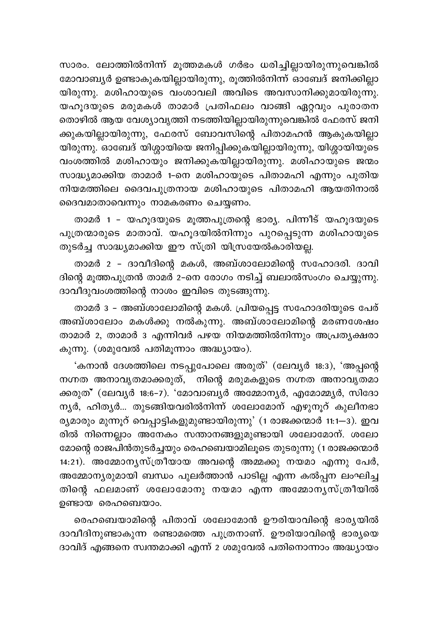സാരം. ലോത്തിൽനിന്ന് മൂത്തമകൾ ഗർഭം ധരിച്ചില്ലായിരുന്നുവെങ്കിൽ മോവാബൃർ ഉണ്ടാകുകയില്ലായിരുന്നു, രൂത്തിൽനിന്ന് ഓബേദ് ജനിക്കില്ലാ യിരുന്നു. മശിഹായുടെ വംശാവലി അവിടെ അവസാനിക്കുമായിരുന്നു. യഹുദയുടെ മരുമകൾ താമാർ പ്രതിഫലം വാങ്ങി ഏറ്റവും പുരാതന തൊഴിൽ ആയ വേശ്യാവൃത്തി നടത്തിയില്ലായിരുന്നുവെങ്കിൽ ഫേരസ് ജനി .<br>ക്കുകയില്ലായിരുന്നു, ഫേരസ് ബോവസിന്റെ പിതാമഹൻ ആകുകയില്ലാ യിരുന്നു. ഓബേദ് യിശ്ശായിയെ ജനിപ്പിക്കുകയില്ലായിരുന്നു, യിശ്ശായിയുടെ വംശത്തിൽ മശിഹായും ജനിക്കുകയില്ലായിരുന്നു. മശിഹായുടെ ജന്മം സാദ്ധ്യമാക്കിയ താമാർ 1-നെ മശിഹായുടെ പിതാമഹി എന്നും പുതിയ നിയമത്തിലെ ദൈവപുത്രനായ മശിഹായുടെ പിതാമഹി ആയതിനാൽ ദൈവമാതാവെന്നും നാമകരണം ചെയ്യണം.

താമർ 1 - യഹൂദയുടെ മൂത്തപുത്രന്റെ ഭാര്യ. പിന്നീട് യഹൂദയുടെ പുത്രന്മാരുടെ മാതാവ്. യഹൂദയിൽനിന്നും പുറപ്പെടുന്ന മശിഹായുടെ തുടർച്ച സാദ്ധ്യമാക്കിയ ഈ സ്ത്രി യിസ്രയേൽകാരിയല്ല.

താമർ 2 - ദാവീദിന്റെ മകൾ, അബ്ശാലോമിന്റെ സഹോദരി. ദാവി ദിന്റെ മൂത്തപുത്രൻ താമർ 2–നെ രോഗം നടിച്ച് ബലാൽസംഗം ചെയ്യുന്നു. ദാവീദുവംശത്തിന്റെ നാശം ഇവിടെ തുടങ്ങുന്നു.

താമർ 3 - അബ്ശാലോമിന്റെ മകൾ. പ്രിയപ്പെട്ട സഹോദരിയുടെ പേര് അബ്ശാലോം മകൾക്കു നൽകുന്നു. അബ്ശാലോമിന്റെ മരണശേഷം താമാർ 2, താമാർ 3 എന്നിവർ പഴയ നിയമത്തിൽനിന്നും അപ്രത്യക്ഷരാ കുന്നു. (ശമുവേൽ പതിമുന്നാം അദ്ധ്യായം).

'കനാൻ ദേശത്തിലെ നടപ്പുപോലെ അരുത്' (ലേവ്യർ 18:3), 'അപ്പന്റെ നഗ്നത അനാവൃതമാക്കരുത്, നിന്റെ മരുമകളുടെ നഗ്നത അനാവൃതമാ ക്കരുത്\* (ലേവൃർ 18:6-7). 'മോവാബൃർ അമ്മോനൃർ, എമോമ്മൃർ, സിദോ നൃർ, ഹിതൃർ... തുടങ്ങിയവരിൽനിന്ന് ശലോമോന് എഴുനൂറ് കുലീനഭാ ര്യമാരും മുന്നൂറ് വെപ്പാട്ടികളുമുണ്ടായിരുന്നു' (1 രാജക്കന്മാർ 11:1—3). ഇവ രിൽ നിന്നെല്ലാം അനേകം സന്താനങ്ങളുമുണ്ടായി ശലോമോന്. ശലോ മോന്റെ രാജപിൻതുടർച്ചയും രെഹബെയാമിലൂടെ തുടരുന്നു (1 രാജക്കന്മാർ 14:21). അമ്മോനൃസ്ത്രീയായ അവന്റെ അമ്മക്കു നയമാ എന്നു പേർ, അമ്മോന്യരുമായി ബന്ധം പുലർത്താൻ പാടില്ല എന്ന കൽപ്പന ലംഘിച്ച തിന്റെ ഫലമാണ് ശലോമോനു നയമാ എന്ന അമ്മോന്യസ്ത്രീയിൽ ഉണ്ടായ രെഹബെയാം.

രെഹബെയാമിന്റെ പിതാവ് ശലോമോൻ ഊരിയാവിന്റെ ഭാര്യയിൽ ദാവീദിനുണ്ടാകുന്ന രണ്ടാമത്തെ പുത്രനാണ്. ഊരിയാവിന്റെ ഭാര്യയെ ദാവിദ് എങ്ങനെ സ്വന്തമാക്കി എന്ന് 2 ശമുവേൽ പതിനൊന്നാം അദ്ധ്യായം